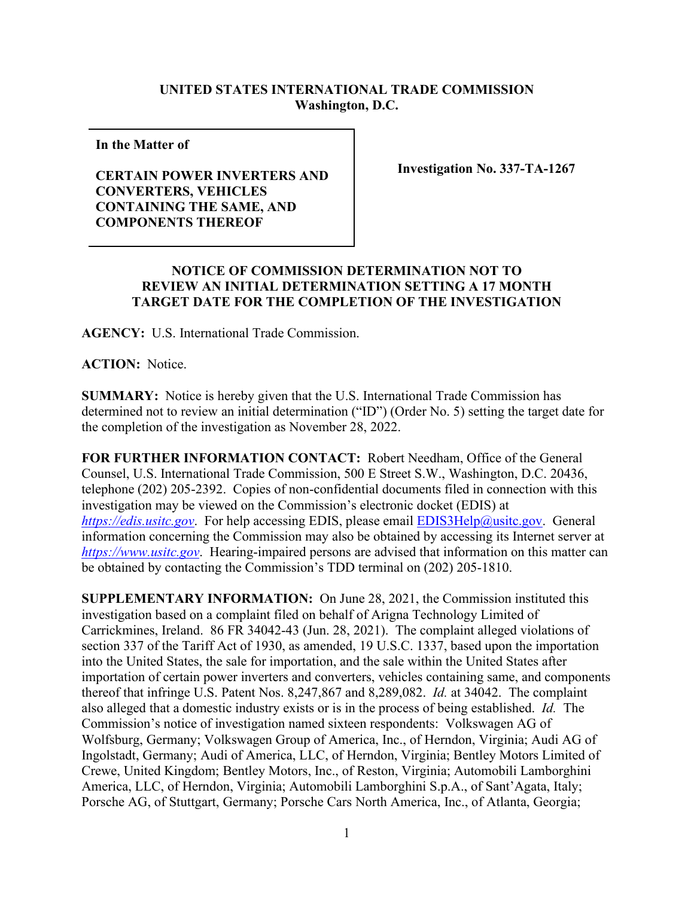## **UNITED STATES INTERNATIONAL TRADE COMMISSION Washington, D.C.**

**In the Matter of** 

## **CERTAIN POWER INVERTERS AND CONVERTERS, VEHICLES CONTAINING THE SAME, AND COMPONENTS THEREOF**

**Investigation No. 337-TA-1267**

## **NOTICE OF COMMISSION DETERMINATION NOT TO REVIEW AN INITIAL DETERMINATION SETTING A 17 MONTH TARGET DATE FOR THE COMPLETION OF THE INVESTIGATION**

**AGENCY:** U.S. International Trade Commission.

**ACTION:** Notice.

**SUMMARY:** Notice is hereby given that the U.S. International Trade Commission has determined not to review an initial determination ("ID") (Order No. 5) setting the target date for the completion of the investigation as November 28, 2022.

**FOR FURTHER INFORMATION CONTACT:** Robert Needham, Office of the General Counsel, U.S. International Trade Commission, 500 E Street S.W., Washington, D.C. 20436, telephone (202) 205-2392. Copies of non-confidential documents filed in connection with this investigation may be viewed on the Commission's electronic docket (EDIS) at *[https://edis.usitc.gov](https://edis.usitc.gov/)*. For help accessing EDIS, please email [EDIS3Help@usitc.gov.](mailto:EDIS3Help@usitc.gov) General information concerning the Commission may also be obtained by accessing its Internet server at *[https://www.usitc.gov](https://www.usitc.gov/)*. Hearing-impaired persons are advised that information on this matter can be obtained by contacting the Commission's TDD terminal on (202) 205-1810.

**SUPPLEMENTARY INFORMATION:** On June 28, 2021, the Commission instituted this investigation based on a complaint filed on behalf of Arigna Technology Limited of Carrickmines, Ireland. 86 FR 34042-43 (Jun. 28, 2021). The complaint alleged violations of section 337 of the Tariff Act of 1930, as amended, 19 U.S.C. 1337, based upon the importation into the United States, the sale for importation, and the sale within the United States after importation of certain power inverters and converters, vehicles containing same, and components thereof that infringe U.S. Patent Nos. 8,247,867 and 8,289,082. *Id.* at 34042. The complaint also alleged that a domestic industry exists or is in the process of being established. *Id.* The Commission's notice of investigation named sixteen respondents: Volkswagen AG of Wolfsburg, Germany; Volkswagen Group of America, Inc., of Herndon, Virginia; Audi AG of Ingolstadt, Germany; Audi of America, LLC, of Herndon, Virginia; Bentley Motors Limited of Crewe, United Kingdom; Bentley Motors, Inc., of Reston, Virginia; Automobili Lamborghini America, LLC, of Herndon, Virginia; Automobili Lamborghini S.p.A., of Sant'Agata, Italy; Porsche AG, of Stuttgart, Germany; Porsche Cars North America, Inc., of Atlanta, Georgia;